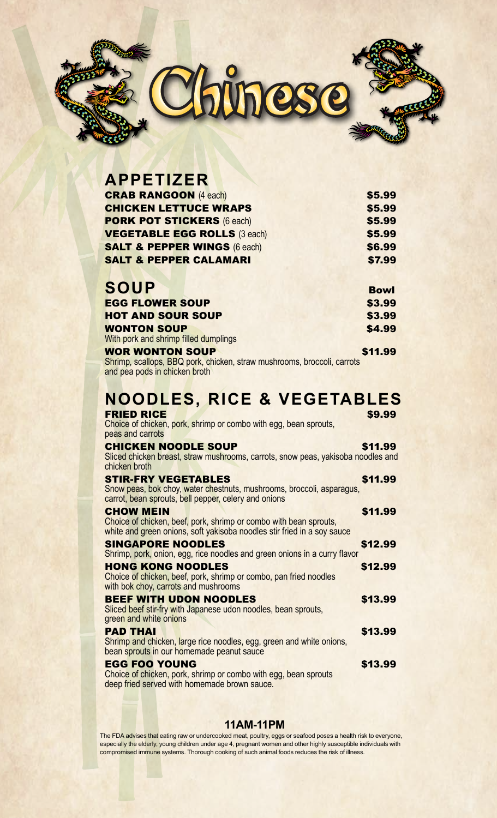

| <b>APPETIZER</b>                        |             |
|-----------------------------------------|-------------|
| <b>CRAB RANGOON (4 each)</b>            | \$5.99      |
| <b>CHICKEN LETTUCE WRAPS</b>            | \$5.99      |
| <b>PORK POT STICKERS (6 each)</b>       | \$5.99      |
| <b>VEGETABLE EGG ROLLS (3 each)</b>     | \$5.99      |
| <b>SALT &amp; PEPPER WINGS (6 each)</b> | \$6.99      |
| <b>SALT &amp; PEPPER CALAMARI</b>       | \$7.99      |
|                                         |             |
| <b>SOUP</b>                             | <b>Bowl</b> |
| <b>EGG FLOWER SOUP</b>                  | \$3.99      |
| <b>HOT AND SOUR SOUP</b>                | \$3.99      |
| <b>WONTON SOUP</b>                      | \$4.99      |
| With pork and shrimp filled dumplings   |             |
| <b>WOR WONTON SOUP</b>                  | \$11.99     |

Shrimp, scallops, BBQ pork, chicken, straw mushrooms, broccoli, carrots and pea pods in chicken broth

## **NOODLES, RICE & VEGETABLES**

| <b>FRIED RICE</b><br>Choice of chicken, pork, shrimp or combo with egg, bean sprouts,<br>peas and carrots                                                        | \$9.99  |
|------------------------------------------------------------------------------------------------------------------------------------------------------------------|---------|
| <b>CHICKEN NOODLE SOUP</b><br>Sliced chicken breast, straw mushrooms, carrots, snow peas, yakisoba noodles and<br>chicken broth                                  | \$11.99 |
| <b>STIR-FRY VEGETABLES</b><br>Snow peas, bok choy, water chestnuts, mushrooms, broccoli, asparagus,<br>carrot, bean sprouts, bell pepper, celery and onions      | \$11.99 |
| <b>CHOW MEIN</b><br>Choice of chicken, beef, pork, shrimp or combo with bean sprouts,<br>white and green onions, soft yakisoba noodles stir fried in a soy sauce | \$11.99 |
| <b>SINGAPORE NOODLES</b><br>Shrimp, pork, onion, egg, rice noodles and green onions in a curry flavor                                                            | \$12.99 |
| <b>HONG KONG NOODLES</b><br>Choice of chicken, beef, pork, shrimp or combo, pan fried noodles<br>with bok choy, carrots and mushrooms                            | \$12.99 |
| <b>BEEF WITH UDON NOODLES</b><br>Sliced beef stir-fry with Japanese udon noodles, bean sprouts,<br>green and white onions                                        | \$13.99 |
| <b>PAD THAI</b><br>Shrimp and chicken, large rice noodles, egg, green and white onions,<br>bean sprouts in our homemade peanut sauce                             | \$13.99 |
| <b>EGG FOO YOUNG</b><br>Choice of chicken, pork, shrimp or combo with egg, bean sprouts                                                                          | \$13.99 |

## **11AM-11PM**

deep fried served with homemade brown sauce.

The FDA advises that eating raw or undercooked meat, poultry, eggs or seafood poses a health risk to everyone, especially the elderly, young children under age 4, pregnant women and other highly susceptible individuals with compromised immune systems. Thorough cooking of such animal foods reduces the risk of illness.